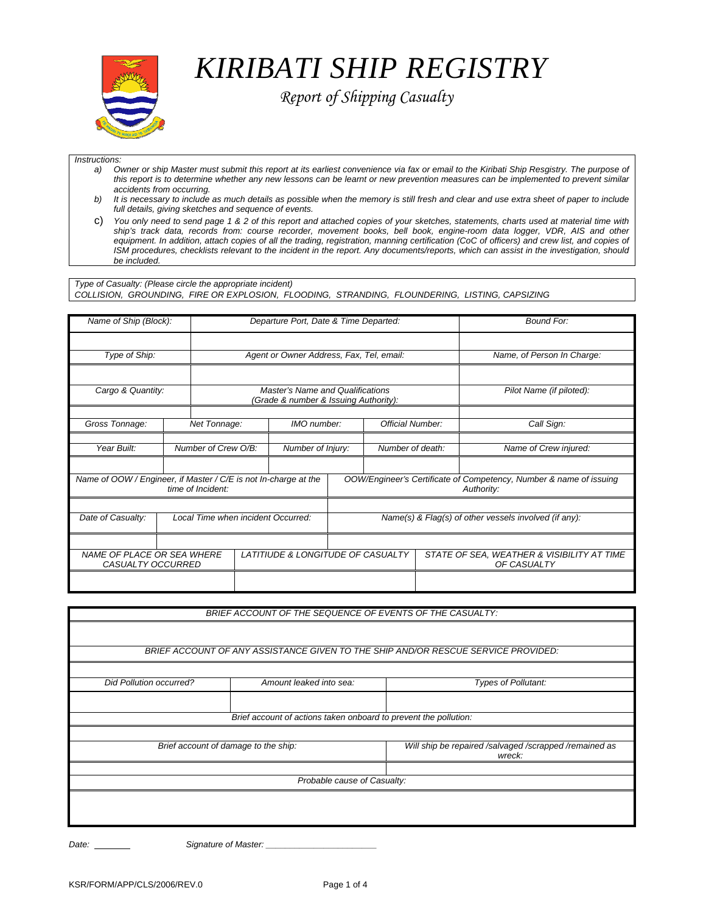

*KIRIBATI SHIP REGISTRY* 

 *Report of Shipping Casualty* 

#### *Instructions:*

- *a) Owner or ship Master must submit this report at its earliest convenience via fax or email to the Kiribati Ship Resgistry. The purpose of this report is to determine whether any new lessons can be learnt or new prevention measures can be implemented to prevent similar accidents from occurring.*
- *b) It is necessary to include as much details as possible when the memory is still fresh and clear and use extra sheet of paper to include full details, giving sketches and sequence of events.*
- c) *You only need to send page 1 & 2 of this report and attached copies of your sketches, statements, charts used at material time with ship's track data, records from: course recorder, movement books, bell book, engine-room data logger, VDR, AIS and other*  equipment. In addition, attach copies of all the trading, registration, manning certification (CoC of officers) and crew list, and copies of *ISM procedures, checklists relevant to the incident in the report. Any documents/reports, which can assist in the investigation, should be included.*

*Type of Casualty: (Please circle the appropriate incident) COLLISION, GROUNDING, FIRE OR EXPLOSION, FLOODING, STRANDING, FLOUNDERING, LISTING, CAPSIZING*

| Name of Ship (Block):                                   |  | Departure Port, Date & Time Departed: |                                                                                  |                   |                                                       |                                                                                  |  | <b>Bound For:</b>                                         |
|---------------------------------------------------------|--|---------------------------------------|----------------------------------------------------------------------------------|-------------------|-------------------------------------------------------|----------------------------------------------------------------------------------|--|-----------------------------------------------------------|
|                                                         |  |                                       |                                                                                  |                   |                                                       |                                                                                  |  |                                                           |
| Type of Ship:                                           |  |                                       | Agent or Owner Address, Fax, Tel, email:                                         |                   |                                                       |                                                                                  |  | Name, of Person In Charge:                                |
|                                                         |  |                                       |                                                                                  |                   |                                                       |                                                                                  |  |                                                           |
| Cargo & Quantity:                                       |  |                                       | <b>Master's Name and Qualifications</b><br>(Grade & number & Issuing Authority): |                   |                                                       |                                                                                  |  | Pilot Name (if piloted):                                  |
|                                                         |  |                                       |                                                                                  |                   |                                                       |                                                                                  |  |                                                           |
| Gross Tonnage:                                          |  | Net Tonnage:                          |                                                                                  | IMO number:       |                                                       | <b>Official Number:</b>                                                          |  | Call Sign:                                                |
|                                                         |  |                                       |                                                                                  |                   |                                                       |                                                                                  |  |                                                           |
| Year Built:                                             |  | Number of Crew O/B:                   |                                                                                  | Number of Injury: |                                                       | Number of death:                                                                 |  | Name of Crew injured:                                     |
|                                                         |  |                                       |                                                                                  |                   |                                                       |                                                                                  |  |                                                           |
|                                                         |  | time of Incident:                     | Name of OOW / Engineer, if Master / C/E is not In-charge at the                  |                   |                                                       | OOW/Engineer's Certificate of Competency, Number & name of issuing<br>Authority: |  |                                                           |
|                                                         |  |                                       |                                                                                  |                   |                                                       |                                                                                  |  |                                                           |
| Date of Casualty:<br>Local Time when incident Occurred: |  |                                       |                                                                                  |                   | Name(s) & Flag(s) of other vessels involved (if any): |                                                                                  |  |                                                           |
|                                                         |  |                                       |                                                                                  |                   |                                                       |                                                                                  |  |                                                           |
| NAME OF PLACE OR SEA WHERE<br>CASUALTY OCCURRED         |  |                                       | LATITIUDE & LONGITUDE OF CASUALTY                                                |                   |                                                       |                                                                                  |  | STATE OF SEA, WEATHER & VISIBILITY AT TIME<br>OF CASUALTY |
|                                                         |  |                                       |                                                                                  |                   |                                                       |                                                                                  |  |                                                           |

| BRIEF ACCOUNT OF THE SEQUENCE OF EVENTS OF THE CASUALTY:                          |                                      |                                                                  |  |  |  |  |  |  |
|-----------------------------------------------------------------------------------|--------------------------------------|------------------------------------------------------------------|--|--|--|--|--|--|
|                                                                                   |                                      |                                                                  |  |  |  |  |  |  |
| BRIEF ACCOUNT OF ANY ASSISTANCE GIVEN TO THE SHIP AND/OR RESCUE SERVICE PROVIDED: |                                      |                                                                  |  |  |  |  |  |  |
|                                                                                   |                                      |                                                                  |  |  |  |  |  |  |
| <b>Did Pollution occurred?</b>                                                    | Amount leaked into sea:              | <b>Types of Pollutant:</b>                                       |  |  |  |  |  |  |
|                                                                                   |                                      |                                                                  |  |  |  |  |  |  |
| Brief account of actions taken onboard to prevent the pollution:                  |                                      |                                                                  |  |  |  |  |  |  |
|                                                                                   |                                      |                                                                  |  |  |  |  |  |  |
|                                                                                   | Brief account of damage to the ship: | Will ship be repaired /salvaged /scrapped /remained as<br>wreck: |  |  |  |  |  |  |
|                                                                                   |                                      |                                                                  |  |  |  |  |  |  |
| Probable cause of Casualty:                                                       |                                      |                                                                  |  |  |  |  |  |  |
|                                                                                   |                                      |                                                                  |  |  |  |  |  |  |
|                                                                                   |                                      |                                                                  |  |  |  |  |  |  |
|                                                                                   |                                      |                                                                  |  |  |  |  |  |  |

Date: **Date:** Signature of Master: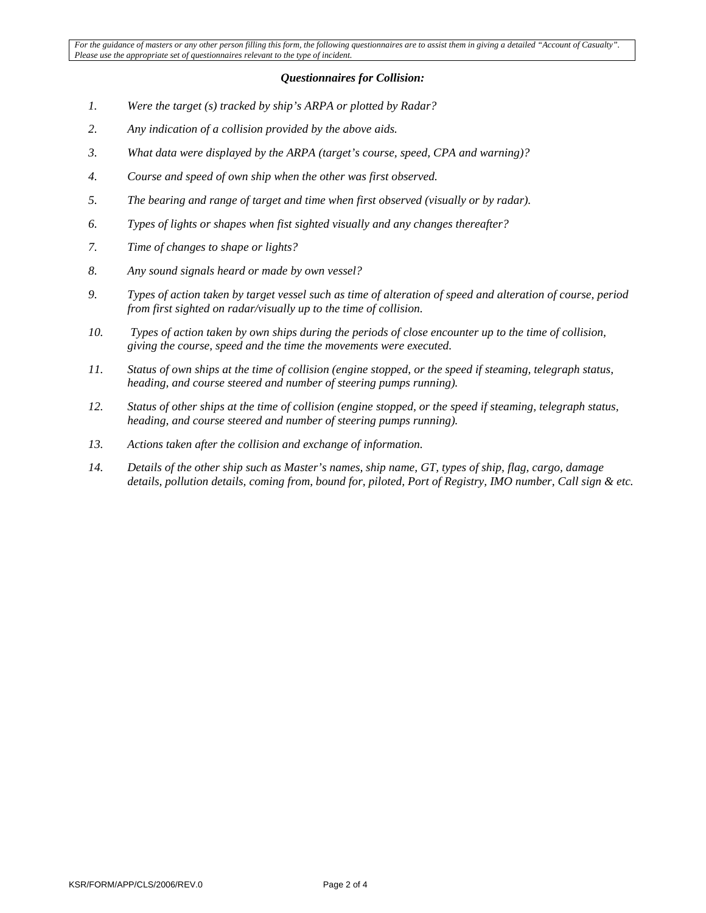# *Questionnaires for Collision:*

- *1. Were the target (s) tracked by ship's ARPA or plotted by Radar?*
- *2. Any indication of a collision provided by the above aids.*
- *3. What data were displayed by the ARPA (target's course, speed, CPA and warning)?*
- *4. Course and speed of own ship when the other was first observed.*
- *5. The bearing and range of target and time when first observed (visually or by radar).*
- *6. Types of lights or shapes when fist sighted visually and any changes thereafter?*
- *7. Time of changes to shape or lights?*
- *8. Any sound signals heard or made by own vessel?*
- *9. Types of action taken by target vessel such as time of alteration of speed and alteration of course, period from first sighted on radar/visually up to the time of collision.*
- *10. Types of action taken by own ships during the periods of close encounter up to the time of collision, giving the course, speed and the time the movements were executed.*
- *11. Status of own ships at the time of collision (engine stopped, or the speed if steaming, telegraph status, heading, and course steered and number of steering pumps running).*
- *12. Status of other ships at the time of collision (engine stopped, or the speed if steaming, telegraph status, heading, and course steered and number of steering pumps running).*
- *13. Actions taken after the collision and exchange of information.*
- *14. Details of the other ship such as Master's names, ship name, GT, types of ship, flag, cargo, damage details, pollution details, coming from, bound for, piloted, Port of Registry, IMO number, Call sign & etc.*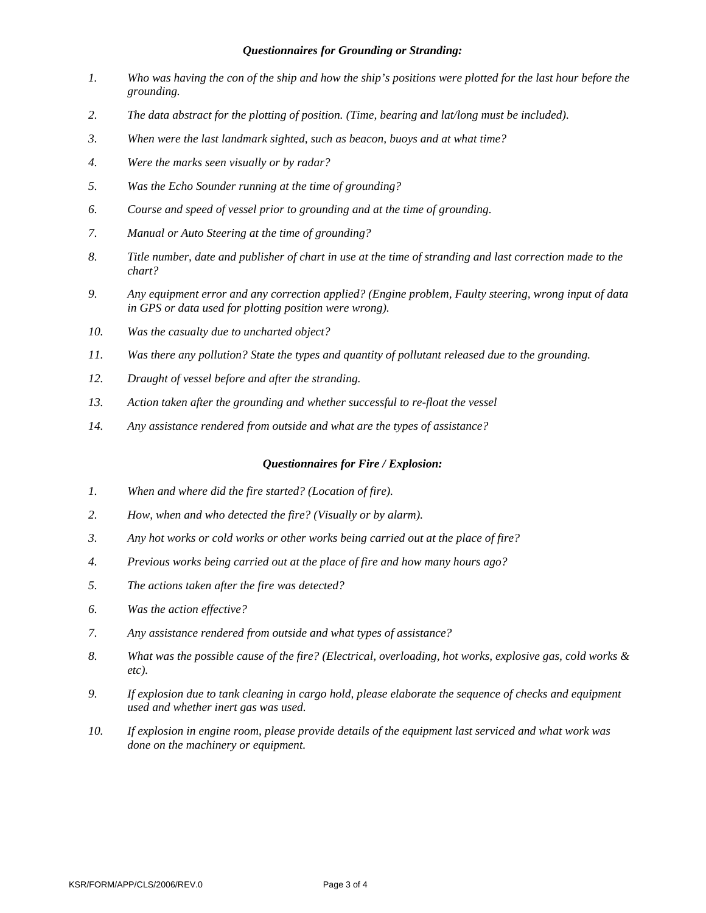### *Questionnaires for Grounding or Stranding:*

- *1. Who was having the con of the ship and how the ship's positions were plotted for the last hour before the grounding.*
- *2. The data abstract for the plotting of position. (Time, bearing and lat/long must be included).*
- *3. When were the last landmark sighted, such as beacon, buoys and at what time?*
- *4. Were the marks seen visually or by radar?*
- *5. Was the Echo Sounder running at the time of grounding?*
- *6. Course and speed of vessel prior to grounding and at the time of grounding.*
- *7. Manual or Auto Steering at the time of grounding?*
- *8. Title number, date and publisher of chart in use at the time of stranding and last correction made to the chart?*
- *9. Any equipment error and any correction applied? (Engine problem, Faulty steering, wrong input of data in GPS or data used for plotting position were wrong).*
- *10. Was the casualty due to uncharted object?*
- *11. Was there any pollution? State the types and quantity of pollutant released due to the grounding.*
- *12. Draught of vessel before and after the stranding.*
- *13. Action taken after the grounding and whether successful to re-float the vessel*
- *14. Any assistance rendered from outside and what are the types of assistance?*

#### *Questionnaires for Fire / Explosion:*

- *1. When and where did the fire started? (Location of fire).*
- *2. How, when and who detected the fire? (Visually or by alarm).*
- *3. Any hot works or cold works or other works being carried out at the place of fire?*
- *4. Previous works being carried out at the place of fire and how many hours ago?*
- *5. The actions taken after the fire was detected?*
- *6. Was the action effective?*
- *7. Any assistance rendered from outside and what types of assistance?*
- *8. What was the possible cause of the fire? (Electrical, overloading, hot works, explosive gas, cold works & etc).*
- *9. If explosion due to tank cleaning in cargo hold, please elaborate the sequence of checks and equipment used and whether inert gas was used.*
- *10. If explosion in engine room, please provide details of the equipment last serviced and what work was done on the machinery or equipment.*